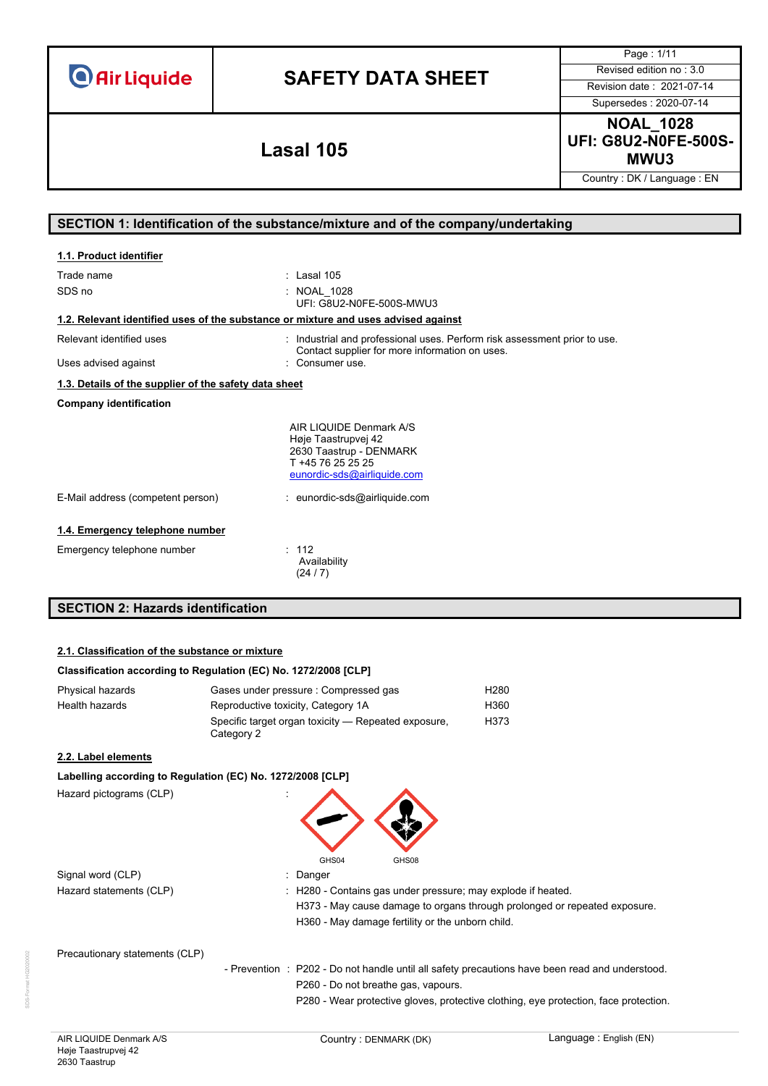|  | <b>O</b> Air Liquide |  |
|--|----------------------|--|
|  |                      |  |

Page : 1/11 Supersedes : 2020-07-14

**NOAL\_1028 UFI: G8U2-N0FE-500S-MWU3 Lasal 105**

Country : DK / Language : EN

### **SECTION 1: Identification of the substance/mixture and of the company/undertaking**

| 1.1. Product identifier                                                            |                                                                                                                                                                |
|------------------------------------------------------------------------------------|----------------------------------------------------------------------------------------------------------------------------------------------------------------|
| Trade name<br>SDS no                                                               | $:$ Lasal 105<br>: NOAL 1028<br>UFI: G8U2-N0FE-500S-MWU3                                                                                                       |
| 1.2. Relevant identified uses of the substance or mixture and uses advised against |                                                                                                                                                                |
| Relevant identified uses<br>Uses advised against                                   | : Industrial and professional uses. Perform risk assessment prior to use.<br>Contact supplier for more information on uses.<br>Consumeruse                     |
| 1.3. Details of the supplier of the safety data sheet                              |                                                                                                                                                                |
| <b>Company identification</b>                                                      |                                                                                                                                                                |
| E-Mail address (competent person)                                                  | AIR LIQUIDE Denmark A/S<br>Høje Taastrupvej 42<br>2630 Taastrup - DENMARK<br>T +45 76 25 25 25<br>eunordic-sds@airliquide.com<br>: eunordic-sds@airliquide.com |
|                                                                                    |                                                                                                                                                                |
| 1.4. Emergency telephone number                                                    |                                                                                                                                                                |
| Emergency telephone number                                                         | : 112<br>Availability<br>(24/7)                                                                                                                                |
| <b>SECTION 2: Hazards identification</b>                                           |                                                                                                                                                                |

### **2.1. Classification of the substance or mixture**

### **Classification according to Regulation (EC) No. 1272/2008 [CLP]**

| Physical hazards | Gases under pressure : Compressed gas                             | H280 |
|------------------|-------------------------------------------------------------------|------|
| Health hazards   | Reproductive toxicity, Category 1A                                | H360 |
|                  | Specific target organ toxicity — Repeated exposure,<br>Category 2 | H373 |

### **2.2. Label elements**

### **Labelling according to Regulation (EC) No. 1272/2008 [CLP]**

Hazard pictograms (CLP)



Signal word (CLP) **in the set of the Signal word (CLP)** and the set of the set of the Signal and the Signal and Si Hazard statements (CLP)

| : H280 - Contains gas under pressure; may explode if heated.              |
|---------------------------------------------------------------------------|
| H373 - May cause damage to organs through prolonged or repeated exposure. |
| H360 - May damage fertility or the unborn child.                          |
|                                                                           |

Precautionary statements (CLP)

- Prevention : P202 - Do not handle until all safety precautions have been read and understood. P260 - Do not breathe gas, vapours.

P280 - Wear protective gloves, protective clothing, eye protection, face protection.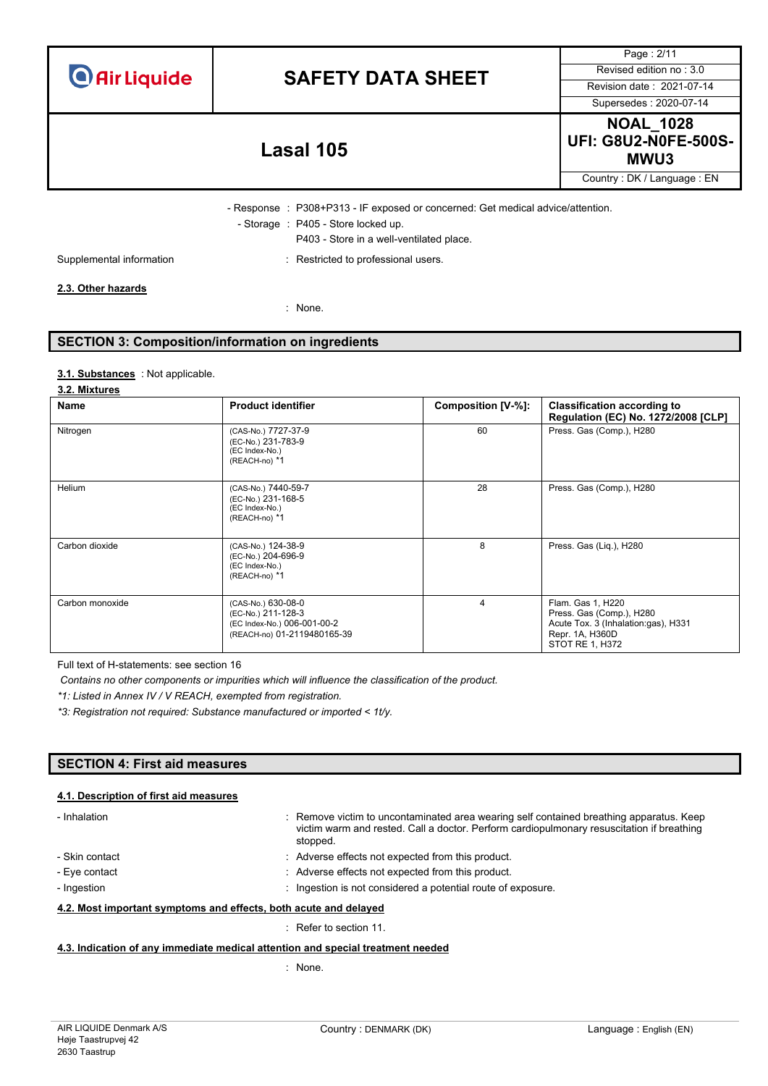|  | <b>O</b> Air Liquide |
|--|----------------------|
|  |                      |

Supersedes : 2020-07-14

Page : 2/11

**NOAL\_1028 UFI: G8U2-N0FE-500S-MWU3 Lasal 105**

Country : DK / Language : EN

- Response : P308+P313 - IF exposed or concerned: Get medical advice/attention. - Storage : P405 - Store locked up.

P403 - Store in a well-ventilated place.

Supplemental information **interest in the CO** is restricted to professional users.

### **2.3. Other hazards**

: None.

### **SECTION 3: Composition/information on ingredients**

### : Not applicable. **3.1. Substances**

### **3.2. Mixtures**

| <b>Name</b>     | <b>Product identifier</b>                                                                              | Composition [V-%]: | <b>Classification according to</b><br>Regulation (EC) No. 1272/2008 [CLP]                                                  |
|-----------------|--------------------------------------------------------------------------------------------------------|--------------------|----------------------------------------------------------------------------------------------------------------------------|
| Nitrogen        | (CAS-No.) 7727-37-9<br>(EC-No.) 231-783-9<br>(EC Index-No.)<br>(REACH-no) *1                           | 60                 | Press. Gas (Comp.), H280                                                                                                   |
| Helium          | (CAS-No.) 7440-59-7<br>(EC-No.) 231-168-5<br>(EC Index-No.)<br>(REACH-no) *1                           | 28                 | Press. Gas (Comp.), H280                                                                                                   |
| Carbon dioxide  | (CAS-No.) 124-38-9<br>(EC-No.) 204-696-9<br>(EC Index-No.)<br>(REACH-no) *1                            | 8                  | Press. Gas (Lig.), H280                                                                                                    |
| Carbon monoxide | (CAS-No.) 630-08-0<br>(EC-No.) 211-128-3<br>(EC Index-No.) 006-001-00-2<br>(REACH-no) 01-2119480165-39 | 4                  | Flam. Gas 1, H220<br>Press. Gas (Comp.), H280<br>Acute Tox. 3 (Inhalation:gas), H331<br>Repr. 1A, H360D<br>STOT RE 1, H372 |

Full text of H-statements: see section 16

*Contains no other components or impurities which will influence the classification of the product.*

*\*1: Listed in Annex IV / V REACH, exempted from registration.*

*\*3: Registration not required: Substance manufactured or imported < 1t/y.*

### **SECTION 4: First aid measures**

### **4.1. Description of first aid measures**

| - Inhalation                                                     | Remove victim to uncontaminated area wearing self contained breathing apparatus. Keep<br>victim warm and rested. Call a doctor. Perform cardiopulmonary resuscitation if breathing<br>stopped. |
|------------------------------------------------------------------|------------------------------------------------------------------------------------------------------------------------------------------------------------------------------------------------|
| - Skin contact                                                   | : Adverse effects not expected from this product.                                                                                                                                              |
| - Eye contact                                                    | : Adverse effects not expected from this product.                                                                                                                                              |
| - Ingestion                                                      | Ingestion is not considered a potential route of exposure.                                                                                                                                     |
| 4.2. Most important symptoms and effects, both acute and delayed |                                                                                                                                                                                                |
|                                                                  | . Defects continued                                                                                                                                                                            |

: Refer to section 11.

**4.3. Indication of any immediate medical attention and special treatment needed**

: None.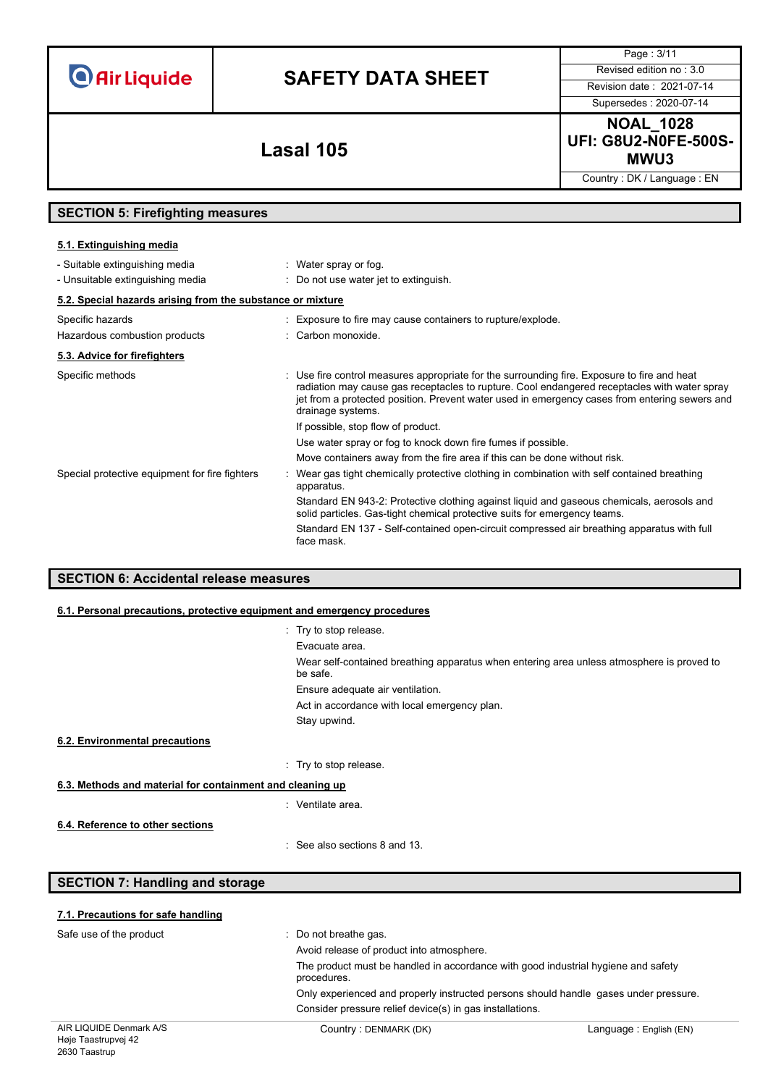# **SAFETY DATA SHEET** Revised edition no : 3.0

Supersedes : 2020-07-14

Page : 3/11

**NOAL\_1028 UFI: G8U2-N0FE-500S-MWU3 Lasal 105**

Country : DK / Language : EN

## **SECTION 5: Firefighting measures**

### **5.1. Extinguishing media**

| - Suitable extinguishing media                             | : Water spray or fog.                                                                                                                                                                                                                                                                                             |
|------------------------------------------------------------|-------------------------------------------------------------------------------------------------------------------------------------------------------------------------------------------------------------------------------------------------------------------------------------------------------------------|
| - Unsuitable extinguishing media                           | : Do not use water jet to extinguish.                                                                                                                                                                                                                                                                             |
| 5.2. Special hazards arising from the substance or mixture |                                                                                                                                                                                                                                                                                                                   |
| Specific hazards                                           | : Exposure to fire may cause containers to rupture/explode.                                                                                                                                                                                                                                                       |
| Hazardous combustion products                              | : Carbon monoxide.                                                                                                                                                                                                                                                                                                |
| 5.3. Advice for firefighters                               |                                                                                                                                                                                                                                                                                                                   |
| Specific methods                                           | : Use fire control measures appropriate for the surrounding fire. Exposure to fire and heat<br>radiation may cause gas receptacles to rupture. Cool endangered receptacles with water spray<br>jet from a protected position. Prevent water used in emergency cases from entering sewers and<br>drainage systems. |
|                                                            | If possible, stop flow of product.                                                                                                                                                                                                                                                                                |
|                                                            | Use water spray or fog to knock down fire fumes if possible.                                                                                                                                                                                                                                                      |
|                                                            | Move containers away from the fire area if this can be done without risk.                                                                                                                                                                                                                                         |
| Special protective equipment for fire fighters             | Wear gas tight chemically protective clothing in combination with self contained breathing<br>apparatus.                                                                                                                                                                                                          |
|                                                            | Standard EN 943-2: Protective clothing against liquid and gaseous chemicals, aerosols and<br>solid particles. Gas-tight chemical protective suits for emergency teams.                                                                                                                                            |
|                                                            | Standard EN 137 - Self-contained open-circuit compressed air breathing apparatus with full<br>face mask.                                                                                                                                                                                                          |
|                                                            |                                                                                                                                                                                                                                                                                                                   |

### **SECTION 6: Accidental release measures**

### **6.1. Personal precautions, protective equipment and emergency procedures**

|                                                           | : Try to stop release.                                                                                |
|-----------------------------------------------------------|-------------------------------------------------------------------------------------------------------|
|                                                           | Evacuate area.                                                                                        |
|                                                           | Wear self-contained breathing apparatus when entering area unless atmosphere is proved to<br>be safe. |
|                                                           | Ensure adequate air ventilation.                                                                      |
|                                                           | Act in accordance with local emergency plan.                                                          |
|                                                           | Stay upwind.                                                                                          |
| 6.2. Environmental precautions                            |                                                                                                       |
|                                                           | : Try to stop release.                                                                                |
| 6.3. Methods and material for containment and cleaning up |                                                                                                       |
|                                                           | : Ventilate area.                                                                                     |
| 6.4. Reference to other sections                          |                                                                                                       |
|                                                           | : See also sections 8 and 13.                                                                         |

## **SECTION 7: Handling and storage**

| $\overline{10}$                    |                                                                                                  |  |
|------------------------------------|--------------------------------------------------------------------------------------------------|--|
|                                    | Consider pressure relief device(s) in gas installations.                                         |  |
|                                    | Only experienced and properly instructed persons should handle gases under pressure.             |  |
|                                    | The product must be handled in accordance with good industrial hygiene and safety<br>procedures. |  |
|                                    | Avoid release of product into atmosphere.                                                        |  |
| Safe use of the product            | $\therefore$ Do not breathe gas.                                                                 |  |
| 7.1. Precautions for safe handling |                                                                                                  |  |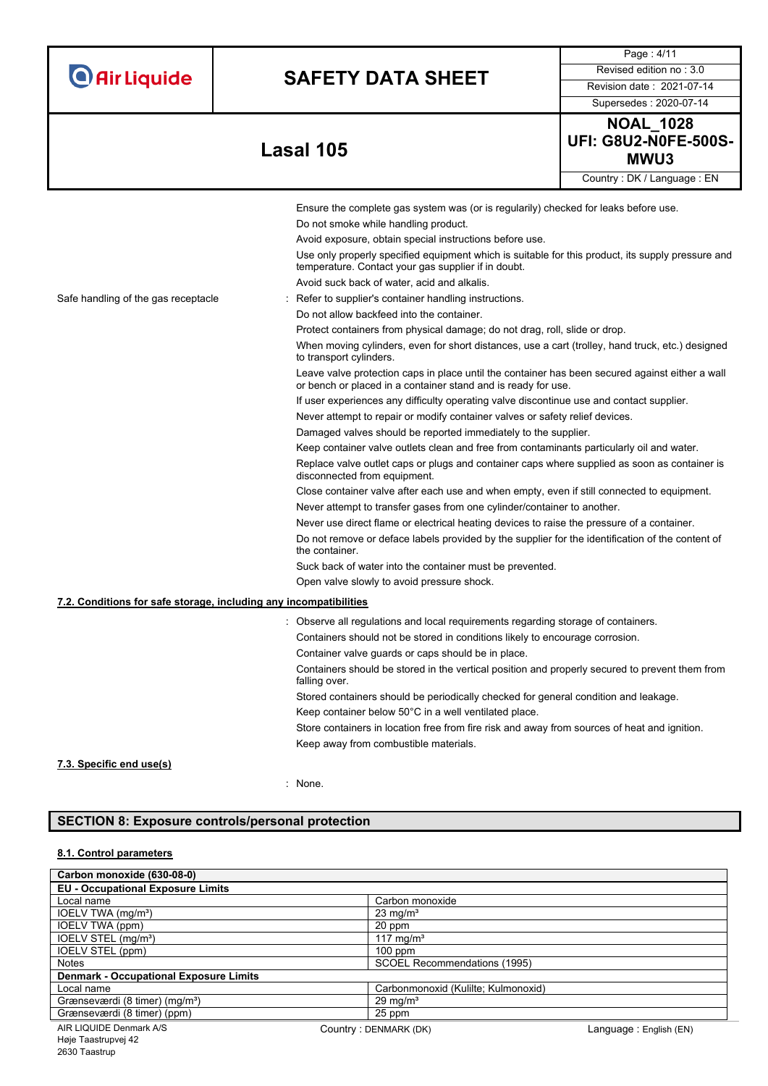| <b>O</b> Air Liquide |  |  |
|----------------------|--|--|

Supersedes : 2020-07-14

Page : 4/11

## **MWU3 Lasal 105**

Country : DK / Language : EN

|                                                                   | Ensure the complete gas system was (or is regularily) checked for leaks before use.                                                                              |
|-------------------------------------------------------------------|------------------------------------------------------------------------------------------------------------------------------------------------------------------|
|                                                                   | Do not smoke while handling product.                                                                                                                             |
|                                                                   | Avoid exposure, obtain special instructions before use.                                                                                                          |
|                                                                   | Use only properly specified equipment which is suitable for this product, its supply pressure and<br>temperature. Contact your gas supplier if in doubt.         |
|                                                                   | Avoid suck back of water, acid and alkalis.                                                                                                                      |
| Safe handling of the gas receptacle                               | Refer to supplier's container handling instructions.                                                                                                             |
|                                                                   | Do not allow backfeed into the container.                                                                                                                        |
|                                                                   | Protect containers from physical damage; do not drag, roll, slide or drop.                                                                                       |
|                                                                   | When moving cylinders, even for short distances, use a cart (trolley, hand truck, etc.) designed<br>to transport cylinders.                                      |
|                                                                   | Leave valve protection caps in place until the container has been secured against either a wall<br>or bench or placed in a container stand and is ready for use. |
|                                                                   | If user experiences any difficulty operating valve discontinue use and contact supplier.                                                                         |
|                                                                   | Never attempt to repair or modify container valves or safety relief devices.                                                                                     |
|                                                                   | Damaged valves should be reported immediately to the supplier.                                                                                                   |
|                                                                   | Keep container valve outlets clean and free from contaminants particularly oil and water.                                                                        |
|                                                                   | Replace valve outlet caps or plugs and container caps where supplied as soon as container is<br>disconnected from equipment.                                     |
|                                                                   | Close container valve after each use and when empty, even if still connected to equipment.                                                                       |
|                                                                   | Never attempt to transfer gases from one cylinder/container to another.                                                                                          |
|                                                                   | Never use direct flame or electrical heating devices to raise the pressure of a container.                                                                       |
|                                                                   | Do not remove or deface labels provided by the supplier for the identification of the content of<br>the container.                                               |
|                                                                   | Suck back of water into the container must be prevented.                                                                                                         |
|                                                                   | Open valve slowly to avoid pressure shock.                                                                                                                       |
| 7.2. Conditions for safe storage, including any incompatibilities |                                                                                                                                                                  |
|                                                                   | : Observe all regulations and local requirements regarding storage of containers.                                                                                |
|                                                                   | Containers should not be stored in conditions likely to encourage corrosion.                                                                                     |
|                                                                   | Container valve guards or caps should be in place.                                                                                                               |
|                                                                   | Containers should be stored in the vertical position and properly secured to prevent them from<br>falling over.                                                  |
|                                                                   | Stored containers should be periodically checked for general condition and leakage.                                                                              |
|                                                                   | Keep container below 50°C in a well ventilated place.                                                                                                            |
|                                                                   | Store containers in location free from fire risk and away from sources of heat and ignition.                                                                     |
|                                                                   | Keep away from combustible materials.                                                                                                                            |
| 7.3. Specific end use(s)                                          |                                                                                                                                                                  |

: None.

### **SECTION 8: Exposure controls/personal protection**

### **8.1. Control parameters**

| Carbon monoxide (630-08-0)                    |                                     |                        |
|-----------------------------------------------|-------------------------------------|------------------------|
| <b>EU - Occupational Exposure Limits</b>      |                                     |                        |
| Local name                                    | Carbon monoxide                     |                        |
| IOELV TWA (mg/m <sup>3</sup> )                | $23 \text{ mg/m}^3$                 |                        |
| IOELV TWA (ppm)                               | 20 ppm                              |                        |
| IOELV STEL (mg/m <sup>3</sup> )               | $117 \text{ mg/m}^3$                |                        |
| IOELV STEL (ppm)                              | $100$ ppm                           |                        |
| <b>Notes</b>                                  | SCOEL Recommendations (1995)        |                        |
| <b>Denmark - Occupational Exposure Limits</b> |                                     |                        |
| Local name                                    | Carbonmonoxid (Kulilte; Kulmonoxid) |                        |
| Grænseværdi (8 timer) (mg/m <sup>3</sup> )    | $29 \text{ mg/m}^3$                 |                        |
| Grænseværdi (8 timer) (ppm)                   | 25 ppm                              |                        |
| AIR LIQUIDE Denmark A/S                       | Country: DENMARK (DK)               | Language: English (EN) |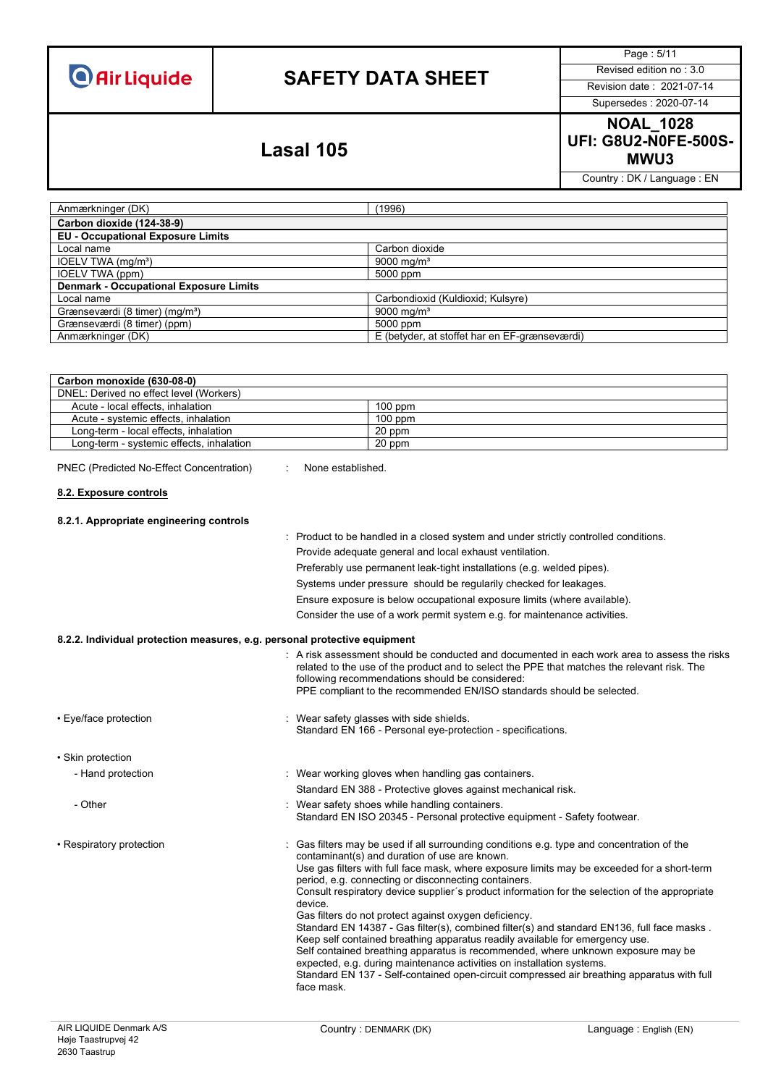# **SAFETY DATA SHEET** Revised edition no : 3.0

Page : 5/11

Supersedes : 2020-07-14

**NOAL\_1028 UFI: G8U2-N0FE-500S-MWU3 Lasal 105**

Country : DK / Language : EN

| Anmærkninger (DK)                             | (1996)                                        |
|-----------------------------------------------|-----------------------------------------------|
| Carbon dioxide (124-38-9)                     |                                               |
| <b>EU - Occupational Exposure Limits</b>      |                                               |
| Local name                                    | Carbon dioxide                                |
| IOELV TWA (mg/m <sup>3</sup> )                | 9000 mg/m <sup>3</sup>                        |
| IOELV TWA (ppm)                               | 5000 ppm                                      |
| <b>Denmark - Occupational Exposure Limits</b> |                                               |
| Local name                                    | Carbondioxid (Kuldioxid; Kulsyre)             |
| Grænseværdi (8 timer) (mg/m <sup>3</sup> )    | 9000 mg/m <sup>3</sup>                        |
| Grænseværdi (8 timer) (ppm)                   | 5000 ppm                                      |
| Anmærkninger (DK)                             | E (betyder, at stoffet har en EF-grænseværdi) |

| Carbon monoxide (630-08-0)                                                                                                      |                                                         |  |
|---------------------------------------------------------------------------------------------------------------------------------|---------------------------------------------------------|--|
| DNEL: Derived no effect level (Workers)                                                                                         |                                                         |  |
| Acute - local effects, inhalation                                                                                               | $100$ ppm                                               |  |
| Acute - systemic effects, inhalation                                                                                            | $100$ ppm                                               |  |
| Long-term - local effects, inhalation                                                                                           | 20 ppm                                                  |  |
| Long-term - systemic effects, inhalation                                                                                        | 20 ppm                                                  |  |
| PNEC (Predicted No-Effect Concentration)<br>None established<br>8.2. Exposure controls                                          |                                                         |  |
| 8.2.1. Appropriate engineering controls<br>: Product to be handled in a closed system and under strictly controlled conditions. |                                                         |  |
|                                                                                                                                 | Provide adequate general and local exhaust ventilation. |  |

Preferably use permanent leak-tight installations (e.g. welded pipes).

Systems under pressure should be regularily checked for leakages.

Ensure exposure is below occupational exposure limits (where available). Consider the use of a work permit system e.g. for maintenance activities.

| 8.2.2. Individual protection measures, e.g. personal protective equipment |                                                                                                                                                                                                                                                                                                                                                                                                                                                                                                                                                                                                                                                                                                                                                                                                                                                                                                                                 |
|---------------------------------------------------------------------------|---------------------------------------------------------------------------------------------------------------------------------------------------------------------------------------------------------------------------------------------------------------------------------------------------------------------------------------------------------------------------------------------------------------------------------------------------------------------------------------------------------------------------------------------------------------------------------------------------------------------------------------------------------------------------------------------------------------------------------------------------------------------------------------------------------------------------------------------------------------------------------------------------------------------------------|
|                                                                           | $\therefore$ A risk assessment should be conducted and documented in each work area to assess the risks<br>related to the use of the product and to select the PPE that matches the relevant risk. The<br>following recommendations should be considered:<br>PPE compliant to the recommended EN/ISO standards should be selected.                                                                                                                                                                                                                                                                                                                                                                                                                                                                                                                                                                                              |
| • Eye/face protection                                                     | : Wear safety glasses with side shields.<br>Standard EN 166 - Personal eye-protection - specifications.                                                                                                                                                                                                                                                                                                                                                                                                                                                                                                                                                                                                                                                                                                                                                                                                                         |
| • Skin protection                                                         |                                                                                                                                                                                                                                                                                                                                                                                                                                                                                                                                                                                                                                                                                                                                                                                                                                                                                                                                 |
| - Hand protection                                                         | : Wear working gloves when handling gas containers.                                                                                                                                                                                                                                                                                                                                                                                                                                                                                                                                                                                                                                                                                                                                                                                                                                                                             |
|                                                                           | Standard EN 388 - Protective gloves against mechanical risk.                                                                                                                                                                                                                                                                                                                                                                                                                                                                                                                                                                                                                                                                                                                                                                                                                                                                    |
| - Other                                                                   | : Wear safety shoes while handling containers.<br>Standard EN ISO 20345 - Personal protective equipment - Safety footwear.                                                                                                                                                                                                                                                                                                                                                                                                                                                                                                                                                                                                                                                                                                                                                                                                      |
| • Respiratory protection                                                  | : Gas filters may be used if all surrounding conditions e.g. type and concentration of the<br>contaminant(s) and duration of use are known.<br>Use gas filters with full face mask, where exposure limits may be exceeded for a short-term<br>period, e.g. connecting or disconnecting containers.<br>Consult respiratory device supplier's product information for the selection of the appropriate<br>device.<br>Gas filters do not protect against oxygen deficiency.<br>Standard EN 14387 - Gas filter(s), combined filter(s) and standard EN136, full face masks.<br>Keep self contained breathing apparatus readily available for emergency use.<br>Self contained breathing apparatus is recommended, where unknown exposure may be<br>expected, e.g. during maintenance activities on installation systems.<br>Standard EN 137 - Self-contained open-circuit compressed air breathing apparatus with full<br>face mask. |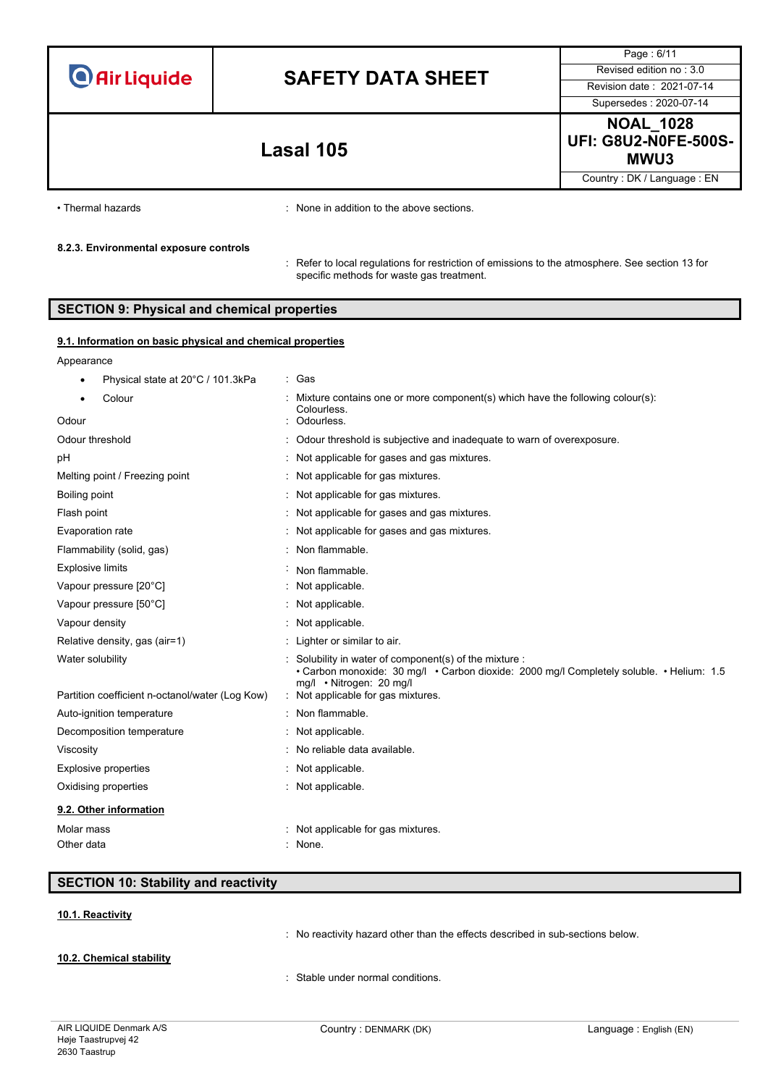# **SAFETY DATA SHEET** Revised edition no : 3.0

Page : 6/11 Supersedes : 2020-07-14

**NOAL\_1028 UFI: G8U2-N0FE-500S-MWU3 Lasal 105**

Country : DK / Language : EN

• Thermal hazards **:** None in addition to the above sections.

### **8.2.3. Environmental exposure controls**

: Refer to local regulations for restriction of emissions to the atmosphere. See section 13 for specific methods for waste gas treatment.

### **SECTION 9: Physical and chemical properties**

### **9.1. Information on basic physical and chemical properties**

| Appearance                                                          |                                                                                                                                                                                                                    |
|---------------------------------------------------------------------|--------------------------------------------------------------------------------------------------------------------------------------------------------------------------------------------------------------------|
| Physical state at 20°C / 101.3kPa                                   | : Gas                                                                                                                                                                                                              |
| Colour                                                              | Mixture contains one or more component(s) which have the following colour(s):<br>Colourless.                                                                                                                       |
| Odour                                                               | Odourless.                                                                                                                                                                                                         |
| Odour threshold                                                     | : Odour threshold is subjective and inadequate to warn of overexposure.                                                                                                                                            |
| рH                                                                  | Not applicable for gases and gas mixtures.                                                                                                                                                                         |
| Melting point / Freezing point                                      | : Not applicable for gas mixtures.                                                                                                                                                                                 |
| Boiling point                                                       | : Not applicable for gas mixtures.                                                                                                                                                                                 |
| Flash point                                                         | : Not applicable for gases and gas mixtures.                                                                                                                                                                       |
| Evaporation rate                                                    | : Not applicable for gases and gas mixtures.                                                                                                                                                                       |
| Flammability (solid, gas)                                           | Non flammable.                                                                                                                                                                                                     |
| <b>Explosive limits</b>                                             | Non flammable.                                                                                                                                                                                                     |
| Vapour pressure [20°C]                                              | : Not applicable.                                                                                                                                                                                                  |
| Vapour pressure [50°C]                                              | : Not applicable.                                                                                                                                                                                                  |
| Vapour density                                                      | : Not applicable.                                                                                                                                                                                                  |
| Relative density, gas (air=1)                                       | : Lighter or similar to air.                                                                                                                                                                                       |
| Water solubility<br>Partition coefficient n-octanol/water (Log Kow) | Solubility in water of component(s) of the mixture :<br>• Carbon monoxide: 30 mg/l • Carbon dioxide: 2000 mg/l Completely soluble. • Helium: 1.5<br>mg/l • Nitrogen: 20 mg/l<br>: Not applicable for gas mixtures. |
| Auto-ignition temperature                                           | : Non flammable.                                                                                                                                                                                                   |
| Decomposition temperature                                           | : Not applicable.                                                                                                                                                                                                  |
| Viscosity                                                           | No reliable data available.                                                                                                                                                                                        |
| <b>Explosive properties</b>                                         | : Not applicable.                                                                                                                                                                                                  |
| Oxidising properties                                                | : Not applicable.                                                                                                                                                                                                  |
| 9.2. Other information                                              |                                                                                                                                                                                                                    |
| Molar mass                                                          | : Not applicable for gas mixtures.                                                                                                                                                                                 |
| Other data                                                          | : None.                                                                                                                                                                                                            |
|                                                                     |                                                                                                                                                                                                                    |

### **SECTION 10: Stability and reactivity**

### **10.1. Reactivity**

: No reactivity hazard other than the effects described in sub-sections below.

**10.2. Chemical stability**

: Stable under normal conditions.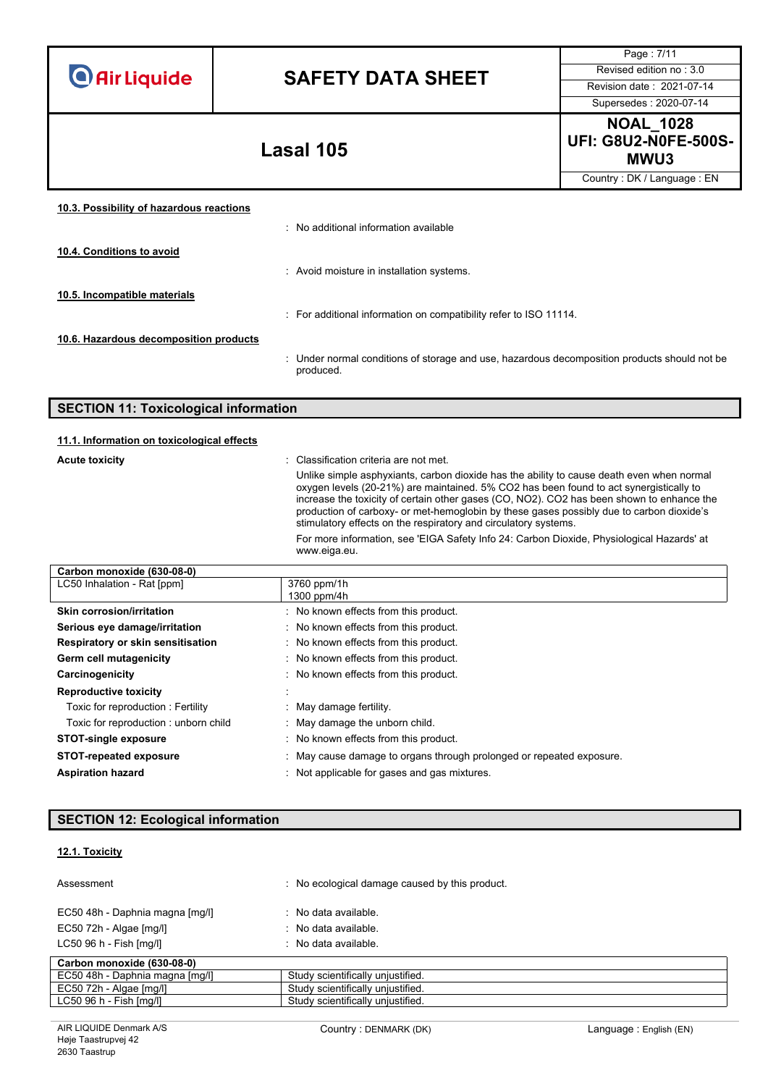| <b>O</b> Air Liquide |  |  |  |  |
|----------------------|--|--|--|--|
|                      |  |  |  |  |

Page : 7/11 Supersedes : 2020-07-14

**NOAL\_1028 UFI: G8U2-N0FE-500S-MWU3 Lasal 105**

Country : DK / Language : EN

| : No additional information available                                                                     |
|-----------------------------------------------------------------------------------------------------------|
|                                                                                                           |
| : Avoid moisture in installation systems.                                                                 |
|                                                                                                           |
| : For additional information on compatibility refer to ISO 11114.                                         |
|                                                                                                           |
| : Under normal conditions of storage and use, hazardous decomposition products should not be<br>produced. |
|                                                                                                           |

| <b>SECTION 11: Toxicological information</b> |                                                                                                                                                                                                                                                                                                                                                                                                                                                 |  |
|----------------------------------------------|-------------------------------------------------------------------------------------------------------------------------------------------------------------------------------------------------------------------------------------------------------------------------------------------------------------------------------------------------------------------------------------------------------------------------------------------------|--|
| 11.1. Information on toxicological effects   |                                                                                                                                                                                                                                                                                                                                                                                                                                                 |  |
| <b>Acute toxicity</b>                        | : Classification criteria are not met.                                                                                                                                                                                                                                                                                                                                                                                                          |  |
|                                              | Unlike simple asphyxiants, carbon dioxide has the ability to cause death even when normal<br>oxygen levels (20-21%) are maintained. 5% CO2 has been found to act synergistically to<br>increase the toxicity of certain other gases (CO, NO2). CO2 has been shown to enhance the<br>production of carboxy- or met-hemoglobin by these gases possibly due to carbon dioxide's<br>stimulatory effects on the respiratory and circulatory systems. |  |
|                                              | For more information, see 'EIGA Safety Info 24: Carbon Dioxide, Physiological Hazards' at<br>www.eiga.eu.                                                                                                                                                                                                                                                                                                                                       |  |

| Carbon monoxide (630-08-0)           |                                                                      |  |  |
|--------------------------------------|----------------------------------------------------------------------|--|--|
| LC50 Inhalation - Rat [ppm]          | 3760 ppm/1h                                                          |  |  |
|                                      | 1300 ppm/4h                                                          |  |  |
| Skin corrosion/irritation            | : No known effects from this product.                                |  |  |
| Serious eye damage/irritation        | : No known effects from this product.                                |  |  |
| Respiratory or skin sensitisation    | : No known effects from this product.                                |  |  |
| Germ cell mutagenicity               | : No known effects from this product.                                |  |  |
| Carcinogenicity                      | : No known effects from this product.                                |  |  |
| <b>Reproductive toxicity</b>         |                                                                      |  |  |
| Toxic for reproduction: Fertility    | : May damage fertility.                                              |  |  |
| Toxic for reproduction: unborn child | : May damage the unborn child.                                       |  |  |
| <b>STOT-single exposure</b>          | : No known effects from this product.                                |  |  |
| <b>STOT-repeated exposure</b>        | : May cause damage to organs through prolonged or repeated exposure. |  |  |
| <b>Aspiration hazard</b>             | Not applicable for gases and gas mixtures.                           |  |  |

## **SECTION 12: Ecological information**

### **12.1. Toxicity**

| Assessment                      | No ecological damage caused by this product. |
|---------------------------------|----------------------------------------------|
| EC50 48h - Daphnia magna [mg/l] | $\therefore$ No data available.              |
| EC50 72h - Algae [mg/l]         | $\therefore$ No data available.              |
| LC50 96 h - Fish [mq/l]         | $\therefore$ No data available.              |
| Carbon monoxide (630-08-0)      |                                              |
| EC50 48h - Daphnia magna [mq/l] | Study scientifically unjustified.            |
| $EC50$ 72h - Algae $[mq/l]$     | Study scientifically unjustified.            |
| $LC5096 h - Fish [mq/l]$        | Study scientifically unjustified.            |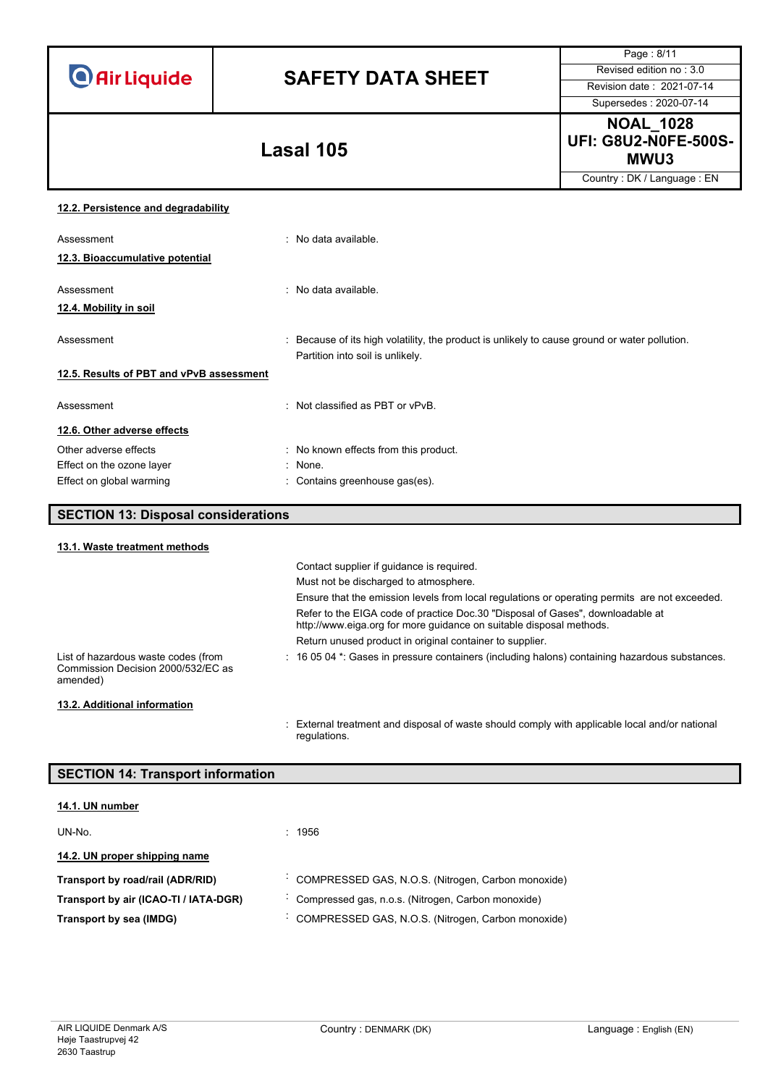# **SAFETY DATA SHEET** Revised edition no : 3.0

Page : 8/11 Supersedes : 2020-07-14

**NOAL\_1028 UFI: G8U2-N0FE-500S-MWU3 Lasal 105**

Country : DK / Language : EN

### **12.2. Persistence and degradability**

| Assessment                               | : No data available.                                                                                                              |
|------------------------------------------|-----------------------------------------------------------------------------------------------------------------------------------|
| 12.3. Bioaccumulative potential          |                                                                                                                                   |
| Assessment                               | $\therefore$ No data available.                                                                                                   |
| 12.4. Mobility in soil                   |                                                                                                                                   |
| Assessment                               | : Because of its high volatility, the product is unlikely to cause ground or water pollution.<br>Partition into soil is unlikely. |
| 12.5. Results of PBT and vPvB assessment |                                                                                                                                   |
| Assessment                               | : Not classified as PBT or vPvB.                                                                                                  |
| 12.6. Other adverse effects              |                                                                                                                                   |
| Other adverse effects                    | : No known effects from this product.                                                                                             |
| Effect on the ozone layer                | : None.                                                                                                                           |
| Effect on global warming                 | : Contains greenhouse gas(es).                                                                                                    |

## **SECTION 13: Disposal considerations**

| 13.1. Waste treatment methods                                                         |                                                                                                                                                       |
|---------------------------------------------------------------------------------------|-------------------------------------------------------------------------------------------------------------------------------------------------------|
|                                                                                       | Contact supplier if quidance is required.                                                                                                             |
|                                                                                       | Must not be discharged to atmosphere.                                                                                                                 |
|                                                                                       | Ensure that the emission levels from local regulations or operating permits are not exceeded.                                                         |
|                                                                                       | Refer to the EIGA code of practice Doc.30 "Disposal of Gases", downloadable at<br>http://www.eiga.org for more guidance on suitable disposal methods. |
|                                                                                       | Return unused product in original container to supplier.                                                                                              |
| List of hazardous waste codes (from<br>Commission Decision 2000/532/EC as<br>amended) | : 16 05 04 *: Gases in pressure containers (including halons) containing hazardous substances.                                                        |
| 13.2. Additional information                                                          |                                                                                                                                                       |
|                                                                                       | : External treatment and disposal of waste should comply with applicable local and/or national<br>regulations.                                        |

### **SECTION 14: Transport information**

| 14.1. UN number                       |                                                    |
|---------------------------------------|----------------------------------------------------|
| UN-No.                                | : 1956                                             |
| 14.2. UN proper shipping name         |                                                    |
| Transport by road/rail (ADR/RID)      | COMPRESSED GAS, N.O.S. (Nitrogen, Carbon monoxide) |
| Transport by air (ICAO-TI / IATA-DGR) | Compressed gas, n.o.s. (Nitrogen, Carbon monoxide) |
| Transport by sea (IMDG)               | COMPRESSED GAS, N.O.S. (Nitrogen, Carbon monoxide) |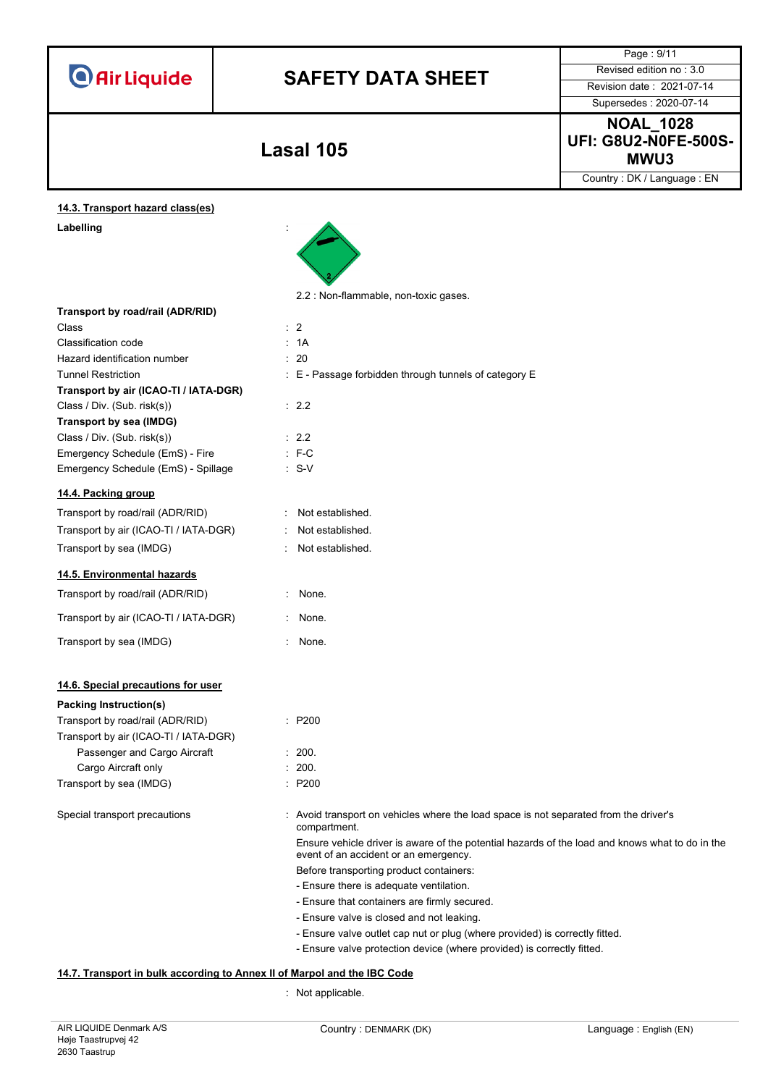|                                       |                                                                                                       | Page: 9/11<br>Revised edition no: 3.0                                                           |
|---------------------------------------|-------------------------------------------------------------------------------------------------------|-------------------------------------------------------------------------------------------------|
| <b>O</b> Air Liquide                  | <b>SAFETY DATA SHEET</b>                                                                              |                                                                                                 |
|                                       |                                                                                                       | Revision date: 2021-07-14                                                                       |
|                                       |                                                                                                       | Supersedes: 2020-07-14                                                                          |
|                                       |                                                                                                       | <b>NOAL_1028</b>                                                                                |
|                                       |                                                                                                       | <b>UFI: G8U2-N0FE-500S-</b>                                                                     |
|                                       | <b>Lasal 105</b>                                                                                      | MWU3                                                                                            |
|                                       |                                                                                                       | Country: DK / Language: EN                                                                      |
| 14.3. Transport hazard class(es)      |                                                                                                       |                                                                                                 |
| Labelling                             |                                                                                                       |                                                                                                 |
|                                       |                                                                                                       |                                                                                                 |
|                                       |                                                                                                       |                                                                                                 |
|                                       |                                                                                                       |                                                                                                 |
|                                       |                                                                                                       |                                                                                                 |
|                                       | 2.2 : Non-flammable, non-toxic gases.                                                                 |                                                                                                 |
| Transport by road/rail (ADR/RID)      | $\therefore$ 2                                                                                        |                                                                                                 |
| Class                                 | : 1A                                                                                                  |                                                                                                 |
| <b>Classification code</b>            |                                                                                                       |                                                                                                 |
| Hazard identification number          | : 20                                                                                                  |                                                                                                 |
| <b>Tunnel Restriction</b>             | : E - Passage forbidden through tunnels of category E                                                 |                                                                                                 |
| Transport by air (ICAO-TI / IATA-DGR) |                                                                                                       |                                                                                                 |
| Class / Div. (Sub. risk(s))           | : 2.2                                                                                                 |                                                                                                 |
| Transport by sea (IMDG)               |                                                                                                       |                                                                                                 |
| Class / Div. (Sub. risk(s))           | : 2.2                                                                                                 |                                                                                                 |
| Emergency Schedule (EmS) - Fire       | $: F-C$                                                                                               |                                                                                                 |
| Emergency Schedule (EmS) - Spillage   | $: S-V$                                                                                               |                                                                                                 |
| 14.4. Packing group                   |                                                                                                       |                                                                                                 |
| Transport by road/rail (ADR/RID)      | Not established.                                                                                      |                                                                                                 |
| Transport by air (ICAO-TI / IATA-DGR) | Not established.                                                                                      |                                                                                                 |
| Transport by sea (IMDG)               | Not established.                                                                                      |                                                                                                 |
|                                       |                                                                                                       |                                                                                                 |
| 14.5. Environmental hazards           |                                                                                                       |                                                                                                 |
| Transport by road/rail (ADR/RID)      | : None.                                                                                               |                                                                                                 |
| Transport by air (ICAO-TI / IATA-DGR) | None.                                                                                                 |                                                                                                 |
| Transport by sea (IMDG)               | : None.                                                                                               |                                                                                                 |
|                                       |                                                                                                       |                                                                                                 |
| 14.6. Special precautions for user    |                                                                                                       |                                                                                                 |
| <b>Packing Instruction(s)</b>         |                                                                                                       |                                                                                                 |
| Transport by road/rail (ADR/RID)      | : P200                                                                                                |                                                                                                 |
| Transport by air (ICAO-TI / IATA-DGR) |                                                                                                       |                                                                                                 |
| Passenger and Cargo Aircraft          | : 200.                                                                                                |                                                                                                 |
| Cargo Aircraft only                   | : 200.                                                                                                |                                                                                                 |
| Transport by sea (IMDG)               | : P200                                                                                                |                                                                                                 |
| Special transport precautions         | : Avoid transport on vehicles where the load space is not separated from the driver's<br>compartment. |                                                                                                 |
|                                       | event of an accident or an emergency.                                                                 | Ensure vehicle driver is aware of the potential hazards of the load and knows what to do in the |
|                                       | Before transporting product containers:                                                               |                                                                                                 |
|                                       | - Ensure there is adequate ventilation.                                                               |                                                                                                 |
|                                       | - Ensure that containers are firmly secured.                                                          |                                                                                                 |
|                                       | - Ensure valve is closed and not leaking.                                                             |                                                                                                 |
|                                       |                                                                                                       |                                                                                                 |
|                                       | - Ensure valve outlet cap nut or plug (where provided) is correctly fitted.                           |                                                                                                 |

### : Not applicable.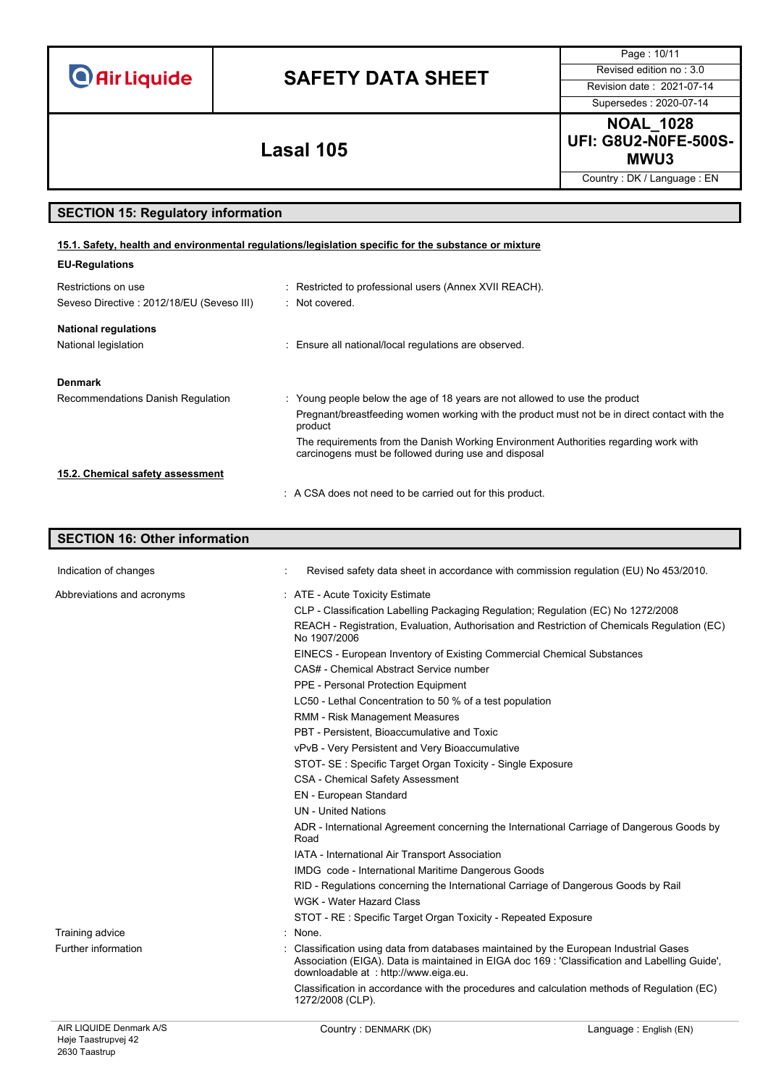## **SAFETY DATA SHEET** Revised edition no : 3.0

Supersedes : 2020-07-14

Page : 10/11

**NOAL\_1028 UFI: G8U2-N0FE-500S-MWU3 Lasal 105**

Country : DK / Language : EN

### **SECTION 15: Regulatory information**

| 15.1. Safety, health and environmental regulations/legislation specific for the substance or mixture |                                                                                                                                              |  |  |  |
|------------------------------------------------------------------------------------------------------|----------------------------------------------------------------------------------------------------------------------------------------------|--|--|--|
| <b>EU-Regulations</b>                                                                                |                                                                                                                                              |  |  |  |
| Restrictions on use                                                                                  | : Restricted to professional users (Annex XVII REACH).                                                                                       |  |  |  |
| Seveso Directive: 2012/18/EU (Seveso III)                                                            | : Not covered.                                                                                                                               |  |  |  |
| <b>National regulations</b>                                                                          |                                                                                                                                              |  |  |  |
| National legislation                                                                                 | : Ensure all national/local regulations are observed.                                                                                        |  |  |  |
| <b>Denmark</b>                                                                                       |                                                                                                                                              |  |  |  |
| Recommendations Danish Regulation                                                                    | : Young people below the age of 18 years are not allowed to use the product                                                                  |  |  |  |
|                                                                                                      | Pregnant/breastfeeding women working with the product must not be in direct contact with the<br>product                                      |  |  |  |
|                                                                                                      | The requirements from the Danish Working Environment Authorities regarding work with<br>carcinogens must be followed during use and disposal |  |  |  |
| 15.2. Chemical safety assessment                                                                     |                                                                                                                                              |  |  |  |
|                                                                                                      | : A CSA does not need to be carried out for this product.                                                                                    |  |  |  |

### AIR LIQUIDE Denmark A/S Country : DENMARK (DK) Country : DENMARK (DK) **SECTION 16: Other information** Indication of changes **indication** of changes **in accordance with commission regulation** (EU) No 453/2010. Abbreviations and acronyms : ATE - Acute Toxicity Estimate CLP - Classification Labelling Packaging Regulation; Regulation (EC) No 1272/2008 REACH - Registration, Evaluation, Authorisation and Restriction of Chemicals Regulation (EC) No 1907/2006 EINECS - European Inventory of Existing Commercial Chemical Substances CAS# - Chemical Abstract Service number PPE - Personal Protection Equipment LC50 - Lethal Concentration to 50 % of a test population RMM - Risk Management Measures PBT - Persistent, Bioaccumulative and Toxic vPvB - Very Persistent and Very Bioaccumulative STOT- SE : Specific Target Organ Toxicity - Single Exposure CSA - Chemical Safety Assessment EN - European Standard UN - United Nations ADR - International Agreement concerning the International Carriage of Dangerous Goods by Road IATA - International Air Transport Association IMDG code - International Maritime Dangerous Goods RID - Regulations concerning the International Carriage of Dangerous Goods by Rail WGK - Water Hazard Class STOT - RE : Specific Target Organ Toxicity - Repeated Exposure Training advice in the set of the set of the set of the set of the set of the set of the set of the set of the set of the set of the set of the set of the set of the set of the set of the set of the set of the set of the s Further information state of the classification using data from databases maintained by the European Industrial Gases Association (EIGA). Data is maintained in EIGA doc 169 : 'Classification and Labelling Guide', downloadable at : http://www.eiga.eu. Classification in accordance with the procedures and calculation methods of Regulation (EC) 1272/2008 (CLP).